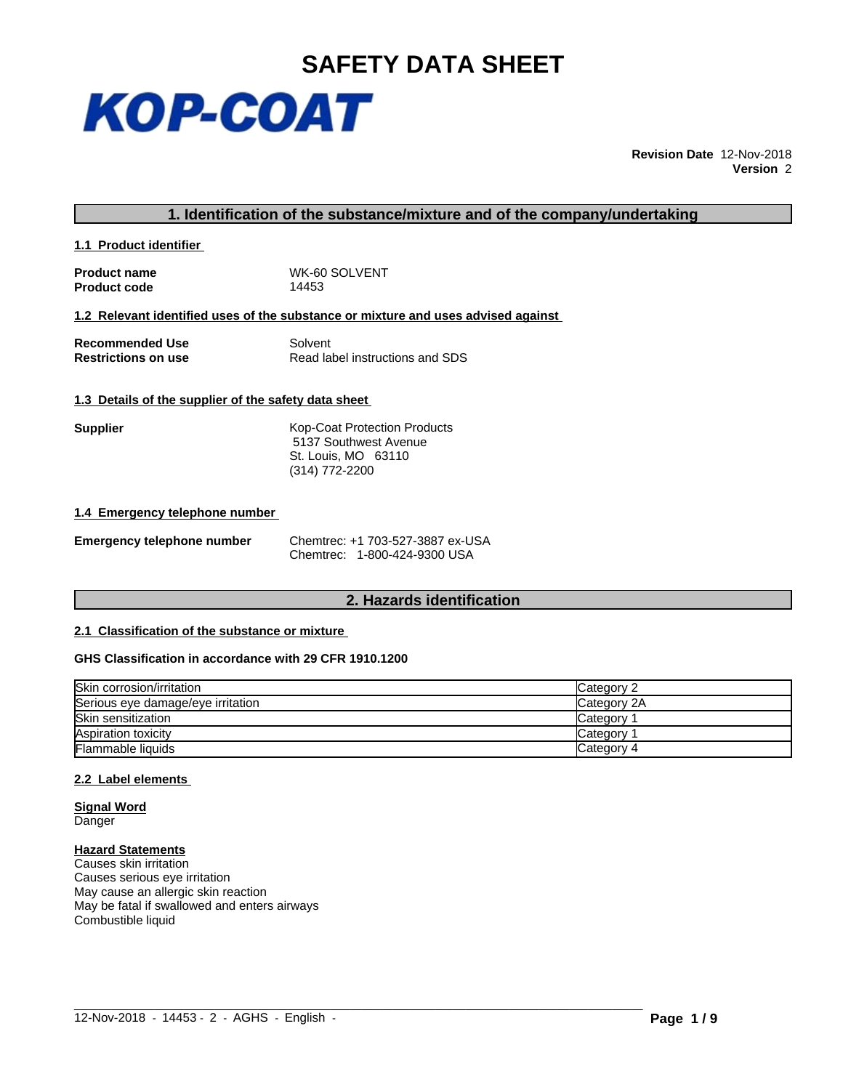

**Revision Date** 12-Nov-2018 **Version** 2

# **1. Identification of the substance/mixture and of the company/undertaking**

**1.1 Product identifier** 

**Product name** WK-60 SOLVENT<br> **Product code** 14453 **Product code** 

**1.2 Relevant identified uses of the substance or mixture and uses advised against**

**Recommended Use Solvent Solvent Restrictions on use Solvent Solvent Solvent Solvent Solvent Solvent Solvent Solvent Solvent Solvent Solvent Solvent Solvent Solvent Solvent Solvent Solvent Solvent Solvent Solvent Solvent S Read label instructions and SDS** 

# **1.3 Details of the supplier of the safety data sheet**

**Supplier** Kop-Coat Protection Products 5137 Southwest Avenue St. Louis, MO 63110 (314) 772-2200

#### **1.4 Emergency telephone number**

| <b>Emergency telephone number</b> |  |
|-----------------------------------|--|
|-----------------------------------|--|

**Emergency telephone number** Chemtrec: +1 703-527-3887 ex-USA Chemtrec: 1-800-424-9300 USA

# **2. Hazards identification**

# **2.1 Classification of the substance or mixture**

## **GHS Classification in accordance with 29 CFR 1910.1200**

| Skin corrosion/irritation         | Category 2  |
|-----------------------------------|-------------|
| Serious eye damage/eye irritation | Category 2A |
| <b>Skin sensitization</b>         | Category    |
| Aspiration toxicity               | Category    |
| <b>Flammable liquids</b>          | Category 4  |

 $\_$  ,  $\_$  ,  $\_$  ,  $\_$  ,  $\_$  ,  $\_$  ,  $\_$  ,  $\_$  ,  $\_$  ,  $\_$  ,  $\_$  ,  $\_$  ,  $\_$  ,  $\_$  ,  $\_$  ,  $\_$  ,  $\_$  ,  $\_$  ,  $\_$  ,  $\_$  ,  $\_$  ,  $\_$  ,  $\_$  ,  $\_$  ,  $\_$  ,  $\_$  ,  $\_$  ,  $\_$  ,  $\_$  ,  $\_$  ,  $\_$  ,  $\_$  ,  $\_$  ,  $\_$  ,  $\_$  ,  $\_$  ,  $\_$  ,

# **2.2 Label elements**

**Signal Word** Danger

#### **Hazard Statements**

Causes skin irritation Causes serious eye irritation May cause an allergic skin reaction May be fatal if swallowed and enters airways Combustible liquid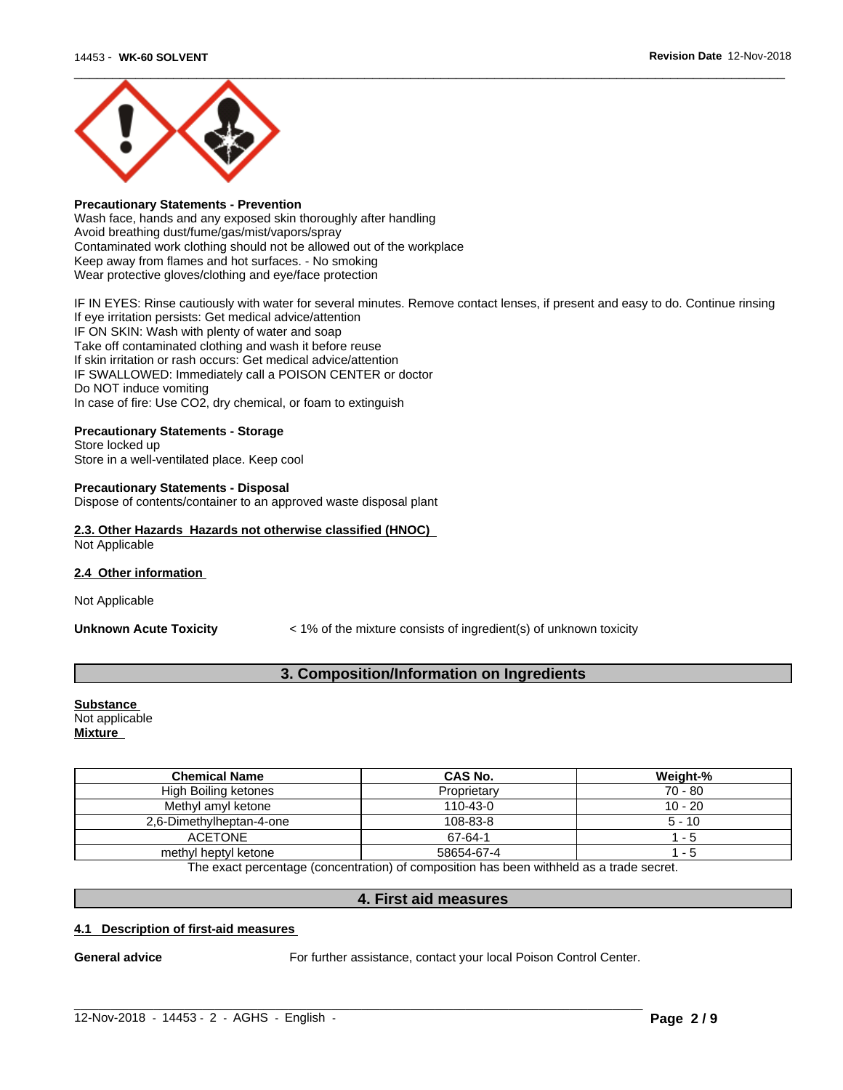

# **Precautionary Statements - Prevention**

Wash face, hands and any exposed skin thoroughly after handling Avoid breathing dust/fume/gas/mist/vapors/spray Contaminated work clothing should not be allowed out of the workplace Keep away from flames and hot surfaces. - No smoking Wear protective gloves/clothing and eye/face protection

IF IN EYES: Rinse cautiously with water for several minutes. Remove contact lenses, if present and easy to do. Continue rinsing If eye irritation persists: Get medical advice/attention IF ON SKIN: Wash with plenty of water and soap Take off contaminated clothing and wash it before reuse If skin irritation or rash occurs: Get medical advice/attention IF SWALLOWED: Immediately call a POISON CENTER or doctor Do NOT induce vomiting

In case of fire: Use CO2, dry chemical, or foam to extinguish

# **Precautionary Statements - Storage**

Store locked up Store in a well-ventilated place. Keep cool

#### **Precautionary Statements - Disposal**

Dispose of contents/container to an approved waste disposal plant

#### **2.3. Other Hazards Hazards not otherwise classified (HNOC)** Not Applicable

**2.4 Other information** 

Not Applicable

**Unknown Acute Toxicity**  $\lt$  1% of the mixture consists of ingredient(s) of unknown toxicity

# **3. Composition/Information on Ingredients**

**Substance**  Not applicable **Mixture**

| <b>Chemical Name</b>     | CAS No.        | Weight-%  |
|--------------------------|----------------|-----------|
| High Boiling ketones     | Proprietary    | 70 - 80   |
| Methyl amyl ketone       | $110 - 43 - 0$ | $10 - 20$ |
| 2,6-Dimethylheptan-4-one | 108-83-8       | $5 - 10$  |
| <b>ACETONE</b>           | 67-64-1        | - 5       |
| methyl heptyl ketone     | 58654-67-4     | - 5       |

The exact percentage (concentration) of composition has been withheld as a trade secret.

# **4. First aid measures**

 $\_$  ,  $\_$  ,  $\_$  ,  $\_$  ,  $\_$  ,  $\_$  ,  $\_$  ,  $\_$  ,  $\_$  ,  $\_$  ,  $\_$  ,  $\_$  ,  $\_$  ,  $\_$  ,  $\_$  ,  $\_$  ,  $\_$  ,  $\_$  ,  $\_$  ,  $\_$  ,  $\_$  ,  $\_$  ,  $\_$  ,  $\_$  ,  $\_$  ,  $\_$  ,  $\_$  ,  $\_$  ,  $\_$  ,  $\_$  ,  $\_$  ,  $\_$  ,  $\_$  ,  $\_$  ,  $\_$  ,  $\_$  ,  $\_$  ,

## **4.1 Description of first-aid measures**

**General advice** For further assistance, contact your local Poison Control Center.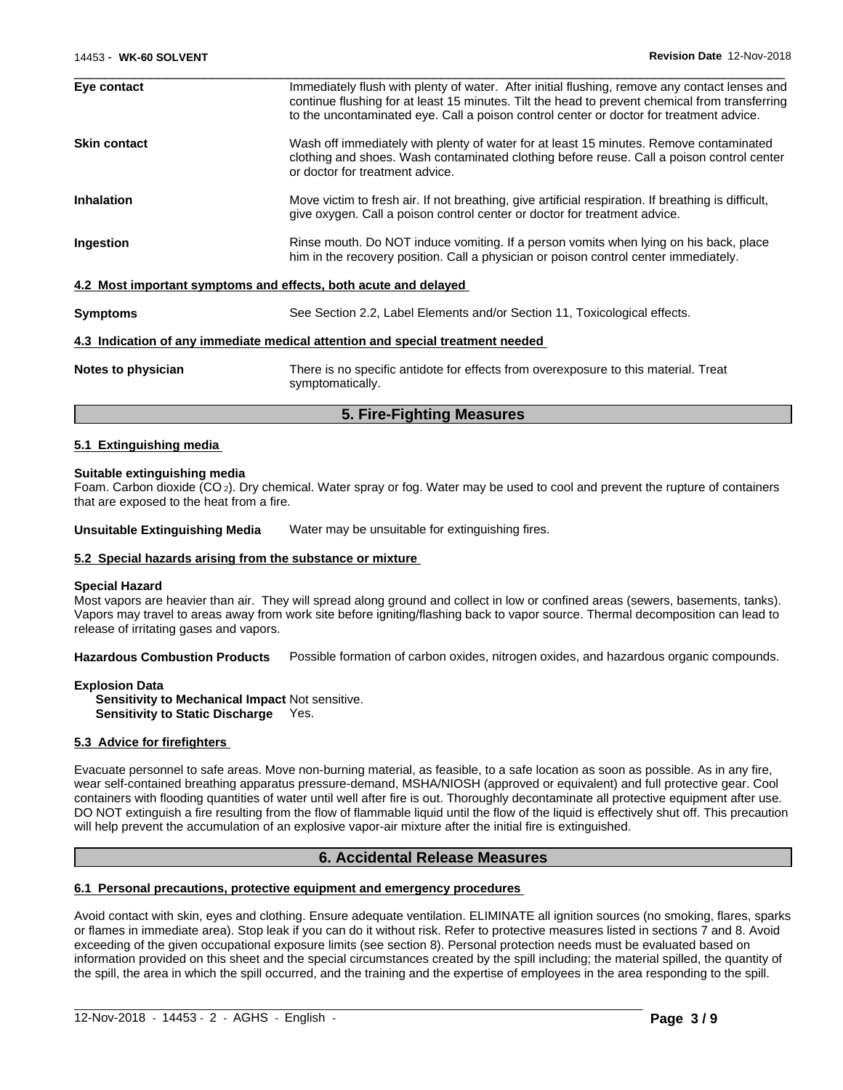|                     | 5. Fire-Fighting Measures                                                                                                                                                                                                                                                                  |
|---------------------|--------------------------------------------------------------------------------------------------------------------------------------------------------------------------------------------------------------------------------------------------------------------------------------------|
| Notes to physician  | There is no specific antidote for effects from overexposure to this material. Treat<br>symptomatically.                                                                                                                                                                                    |
|                     | 4.3 Indication of any immediate medical attention and special treatment needed                                                                                                                                                                                                             |
| <b>Symptoms</b>     | See Section 2.2, Label Elements and/or Section 11, Toxicological effects.                                                                                                                                                                                                                  |
|                     | 4.2 Most important symptoms and effects, both acute and delayed                                                                                                                                                                                                                            |
| Ingestion           | Rinse mouth. Do NOT induce vomiting. If a person vomits when lying on his back, place<br>him in the recovery position. Call a physician or poison control center immediately.                                                                                                              |
| <b>Inhalation</b>   | Move victim to fresh air. If not breathing, give artificial respiration. If breathing is difficult,<br>give oxygen. Call a poison control center or doctor for treatment advice.                                                                                                           |
| <b>Skin contact</b> | Wash off immediately with plenty of water for at least 15 minutes. Remove contaminated<br>clothing and shoes. Wash contaminated clothing before reuse. Call a poison control center<br>or doctor for treatment advice.                                                                     |
| Eye contact         | Immediately flush with plenty of water. After initial flushing, remove any contact lenses and<br>continue flushing for at least 15 minutes. Tilt the head to prevent chemical from transferring<br>to the uncontaminated eye. Call a poison control center or doctor for treatment advice. |

#### **5.1 Extinguishing media**

#### **Suitable extinguishing media**

Foam. Carbon dioxide (CO 2). Dry chemical. Water spray or fog. Water may be used to cool and prevent the rupture of containers that are exposed to the heat from a fire.

**Unsuitable Extinguishing Media** Water may be unsuitable for extinguishing fires.

#### **5.2 Special hazards arising from the substance or mixture**

#### **Special Hazard**

Most vapors are heavier than air. They will spread along ground and collect in low or confined areas (sewers, basements, tanks). Vapors may travel to areas away from work site before igniting/flashing back to vapor source. Thermal decomposition can lead to release of irritating gases and vapors.

**Hazardous Combustion Products** Possible formation of carbon oxides, nitrogen oxides, and hazardous organic compounds.

**Explosion Data**

**Sensitivity to Mechanical Impact** Not sensitive. **Sensitivity to Static Discharge** Yes.

#### **5.3 Advice for firefighters**

Evacuate personnel to safe areas. Move non-burning material, as feasible, to a safe location as soon as possible. As in any fire, wear self-contained breathing apparatus pressure-demand, MSHA/NIOSH (approved or equivalent) and full protective gear. Cool containers with flooding quantities of water until well after fire is out. Thoroughly decontaminate all protective equipment after use. DO NOT extinguish a fire resulting from the flow of flammable liquid until the flow of the liquid is effectively shut off. This precaution will help prevent the accumulation of an explosive vapor-air mixture after the initial fire is extinguished.

# **6. Accidental Release Measures**

## **6.1 Personal precautions, protective equipment and emergency procedures**

Avoid contact with skin, eyes and clothing. Ensure adequate ventilation. ELIMINATE all ignition sources (no smoking, flares, sparks or flames in immediate area). Stop leak if you can do it without risk. Refer to protective measures listed in sections 7 and 8. Avoid exceeding of the given occupational exposure limits (see section 8). Personal protection needs must be evaluated based on information provided on this sheet and the special circumstances created by the spill including; the material spilled, the quantity of the spill, the area in which the spill occurred, and the training and the expertise of employees in the area responding to the spill.

 $\_$  ,  $\_$  ,  $\_$  ,  $\_$  ,  $\_$  ,  $\_$  ,  $\_$  ,  $\_$  ,  $\_$  ,  $\_$  ,  $\_$  ,  $\_$  ,  $\_$  ,  $\_$  ,  $\_$  ,  $\_$  ,  $\_$  ,  $\_$  ,  $\_$  ,  $\_$  ,  $\_$  ,  $\_$  ,  $\_$  ,  $\_$  ,  $\_$  ,  $\_$  ,  $\_$  ,  $\_$  ,  $\_$  ,  $\_$  ,  $\_$  ,  $\_$  ,  $\_$  ,  $\_$  ,  $\_$  ,  $\_$  ,  $\_$  ,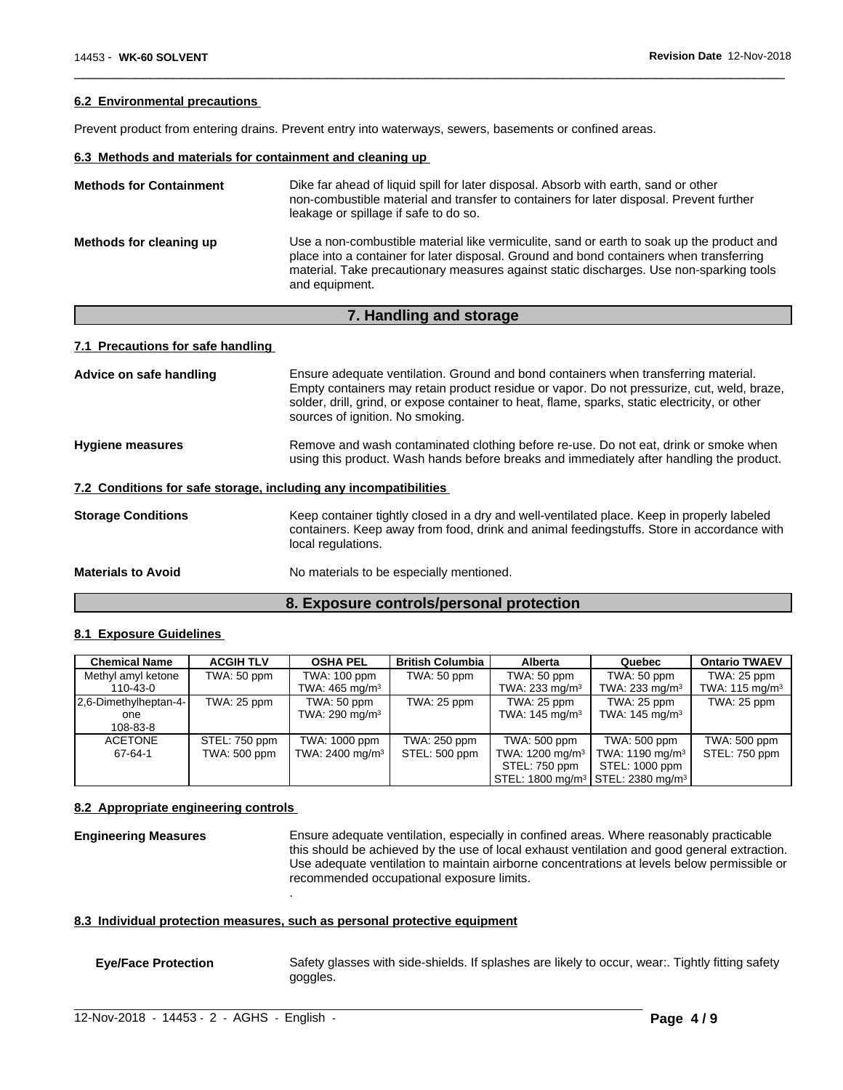#### **6.2 Environmental precautions**

Prevent product from entering drains. Prevent entry into waterways, sewers, basements or confined areas.

# **6.3 Methods and materials for containment and cleaning up**

| <b>Methods for Containment</b> | Dike far ahead of liquid spill for later disposal. Absorb with earth, sand or other<br>non-combustible material and transfer to containers for later disposal. Prevent further<br>leakage or spillage if safe to do so.                                                                           |
|--------------------------------|---------------------------------------------------------------------------------------------------------------------------------------------------------------------------------------------------------------------------------------------------------------------------------------------------|
| Methods for cleaning up        | Use a non-combustible material like vermiculite, sand or earth to soak up the product and<br>place into a container for later disposal. Ground and bond containers when transferring<br>material. Take precautionary measures against static discharges. Use non-sparking tools<br>and equipment. |

 $\overline{\phantom{a}}$  ,  $\overline{\phantom{a}}$  ,  $\overline{\phantom{a}}$  ,  $\overline{\phantom{a}}$  ,  $\overline{\phantom{a}}$  ,  $\overline{\phantom{a}}$  ,  $\overline{\phantom{a}}$  ,  $\overline{\phantom{a}}$  ,  $\overline{\phantom{a}}$  ,  $\overline{\phantom{a}}$  ,  $\overline{\phantom{a}}$  ,  $\overline{\phantom{a}}$  ,  $\overline{\phantom{a}}$  ,  $\overline{\phantom{a}}$  ,  $\overline{\phantom{a}}$  ,  $\overline{\phantom{a}}$ 

### **7. Handling and storage**

# **7.1 Precautions for safe handling**

| Advice on safe handling   | Ensure adequate ventilation. Ground and bond containers when transferring material.<br>Empty containers may retain product residue or vapor. Do not pressurize, cut, weld, braze,<br>solder, drill, grind, or expose container to heat, flame, sparks, static electricity, or other<br>sources of ignition. No smoking. |
|---------------------------|-------------------------------------------------------------------------------------------------------------------------------------------------------------------------------------------------------------------------------------------------------------------------------------------------------------------------|
| <b>Hygiene measures</b>   | Remove and wash contaminated clothing before re-use. Do not eat, drink or smoke when<br>using this product. Wash hands before breaks and immediately after handling the product.                                                                                                                                        |
|                           | 7.2 Conditions for safe storage, including any incompatibilities                                                                                                                                                                                                                                                        |
| <b>Storage Conditions</b> | Keep container tightly closed in a dry and well-ventilated place. Keep in properly labeled<br>containers. Keep away from food, drink and animal feedingstuffs. Store in accordance with<br>local regulations.                                                                                                           |
| <b>Materials to Avoid</b> | No materials to be especially mentioned.                                                                                                                                                                                                                                                                                |
|                           |                                                                                                                                                                                                                                                                                                                         |

# **8. Exposure controls/personal protection**

#### **8.1 Exposure Guidelines**

| <b>Chemical Name</b>  | <b>ACGIH TLV</b> | <b>OSHA PEL</b>               | <b>British Columbia</b> | Alberta                     | Quebec                                                    | <b>Ontario TWAEV</b> |
|-----------------------|------------------|-------------------------------|-------------------------|-----------------------------|-----------------------------------------------------------|----------------------|
| Methyl amyl ketone    | TWA: 50 ppm      | TWA: 100 ppm                  | TWA: 50 ppm             | TWA: 50 ppm                 | TWA: 50 ppm                                               | TWA: 25 ppm          |
| 110-43-0              |                  | TWA: $465 \text{ mg/m}^3$     |                         | TWA: 233 mg/m <sup>3</sup>  | TWA: 233 mg/m <sup>3</sup>                                | TWA: 115 mg/m $3$    |
| 2.6-Dimethylheptan-4- | TWA: 25 ppm      | TWA: 50 ppm                   | TWA: 25 ppm             | TWA: 25 ppm                 | TWA: 25 ppm                                               | TWA: 25 ppm          |
| one                   |                  | TWA: 290 mg/m $3$             |                         | TWA: $145 \text{ mg/m}^3$   | TWA: $145 \text{ mg/m}^3$                                 |                      |
| 108-83-8              |                  |                               |                         |                             |                                                           |                      |
| <b>ACETONE</b>        | STEL: 750 ppm    | TWA: 1000 ppm                 | TWA: 250 ppm            | TWA: 500 ppm                | TWA: 500 ppm                                              | TWA: 500 ppm         |
| 67-64-1               | TWA: 500 ppm     | TWA: $2400$ mg/m <sup>3</sup> | STEL: 500 ppm           | TWA: 1200 mg/m <sup>3</sup> | TWA: 1190 mg/m <sup>3</sup>                               | STEL: 750 ppm        |
|                       |                  |                               |                         | STEL: 750 ppm               | STEL: 1000 ppm                                            |                      |
|                       |                  |                               |                         |                             | STEL: 1800 mg/m <sup>3</sup> STEL: 2380 mg/m <sup>3</sup> |                      |

#### **8.2 Appropriate engineering controls**

**Engineering Measures** Ensure adequate ventilation, especially in confined areas. Where reasonably practicable this should be achieved by the use of local exhaust ventilation and good general extraction. Use adequate ventilation to maintain airborne concentrations at levels below permissible or recommended occupational exposure limits.

#### **8.3 Individual protection measures, such as personal protective equipment**

.

**Eye/Face Protection** Safety glasses with side-shields. If splashes are likely to occur, wear:. Tightly fitting safety goggles.

 $\_$  ,  $\_$  ,  $\_$  ,  $\_$  ,  $\_$  ,  $\_$  ,  $\_$  ,  $\_$  ,  $\_$  ,  $\_$  ,  $\_$  ,  $\_$  ,  $\_$  ,  $\_$  ,  $\_$  ,  $\_$  ,  $\_$  ,  $\_$  ,  $\_$  ,  $\_$  ,  $\_$  ,  $\_$  ,  $\_$  ,  $\_$  ,  $\_$  ,  $\_$  ,  $\_$  ,  $\_$  ,  $\_$  ,  $\_$  ,  $\_$  ,  $\_$  ,  $\_$  ,  $\_$  ,  $\_$  ,  $\_$  ,  $\_$  ,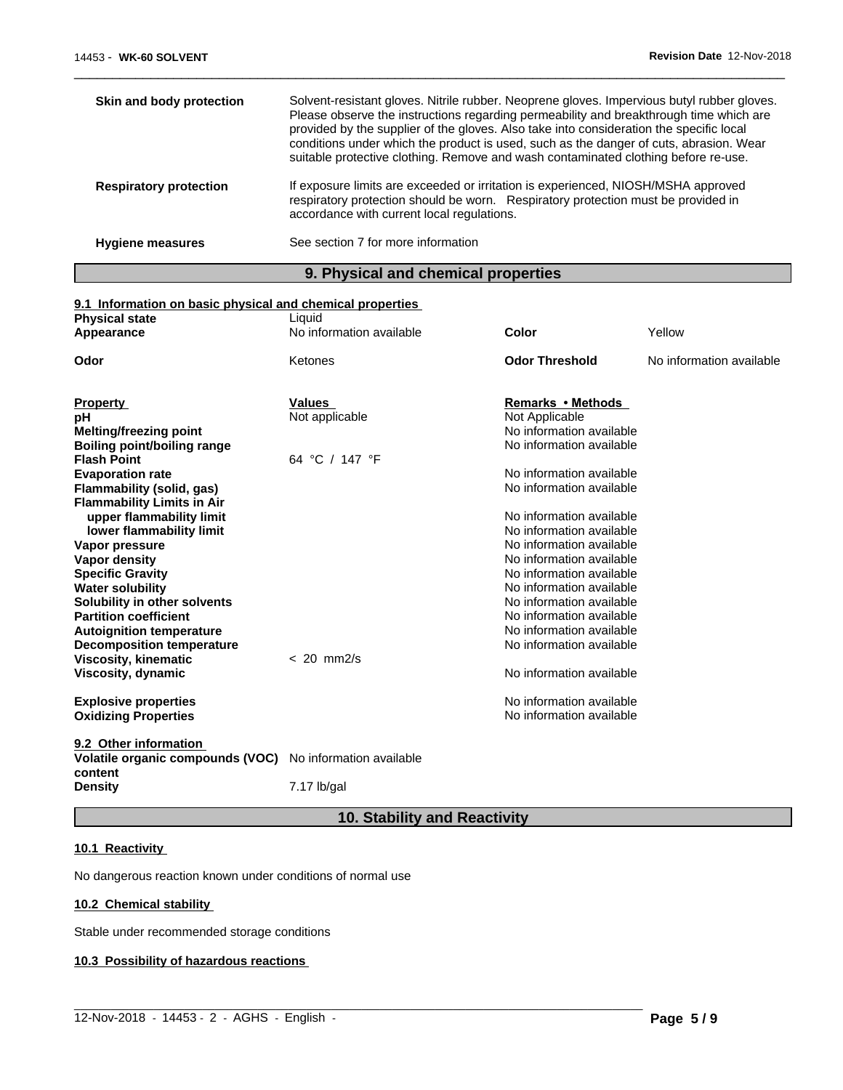| Skin and body protection      | Solvent-resistant gloves. Nitrile rubber. Neoprene gloves. Impervious butyl rubber gloves.<br>Please observe the instructions regarding permeability and breakthrough time which are<br>provided by the supplier of the gloves. Also take into consideration the specific local<br>conditions under which the product is used, such as the danger of cuts, abrasion. Wear<br>suitable protective clothing. Remove and wash contaminated clothing before re-use. |
|-------------------------------|-----------------------------------------------------------------------------------------------------------------------------------------------------------------------------------------------------------------------------------------------------------------------------------------------------------------------------------------------------------------------------------------------------------------------------------------------------------------|
| <b>Respiratory protection</b> | If exposure limits are exceeded or irritation is experienced, NIOSH/MSHA approved<br>respiratory protection should be worn. Respiratory protection must be provided in<br>accordance with current local regulations.                                                                                                                                                                                                                                            |
| <b>Hygiene measures</b>       | See section 7 for more information                                                                                                                                                                                                                                                                                                                                                                                                                              |

 $\overline{\phantom{a}}$  ,  $\overline{\phantom{a}}$  ,  $\overline{\phantom{a}}$  ,  $\overline{\phantom{a}}$  ,  $\overline{\phantom{a}}$  ,  $\overline{\phantom{a}}$  ,  $\overline{\phantom{a}}$  ,  $\overline{\phantom{a}}$  ,  $\overline{\phantom{a}}$  ,  $\overline{\phantom{a}}$  ,  $\overline{\phantom{a}}$  ,  $\overline{\phantom{a}}$  ,  $\overline{\phantom{a}}$  ,  $\overline{\phantom{a}}$  ,  $\overline{\phantom{a}}$  ,  $\overline{\phantom{a}}$ 

# **9. Physical and chemical properties**

# **9.1 Information on basic physical and chemical properties**

| <b>Physical state</b>                       | Liquid                   |                          |                          |
|---------------------------------------------|--------------------------|--------------------------|--------------------------|
| Appearance                                  | No information available | Color                    | Yellow                   |
| Odor                                        | Ketones                  | <b>Odor Threshold</b>    | No information available |
|                                             |                          |                          |                          |
| <b>Property</b>                             | Values                   | Remarks • Methods        |                          |
| рH                                          | Not applicable           | Not Applicable           |                          |
| <b>Melting/freezing point</b>               |                          | No information available |                          |
| Boiling point/boiling range                 |                          | No information available |                          |
| <b>Flash Point</b>                          | 64 °C / 147 °F           |                          |                          |
| <b>Evaporation rate</b>                     |                          | No information available |                          |
| Flammability (solid, gas)                   |                          | No information available |                          |
| <b>Flammability Limits in Air</b>           |                          |                          |                          |
| upper flammability limit                    |                          | No information available |                          |
| lower flammability limit                    |                          | No information available |                          |
| Vapor pressure                              |                          | No information available |                          |
| <b>Vapor density</b>                        |                          | No information available |                          |
| <b>Specific Gravity</b>                     |                          | No information available |                          |
| <b>Water solubility</b>                     |                          | No information available |                          |
| Solubility in other solvents                |                          | No information available |                          |
| <b>Partition coefficient</b>                |                          | No information available |                          |
| <b>Autoignition temperature</b>             |                          | No information available |                          |
| <b>Decomposition temperature</b>            |                          | No information available |                          |
| <b>Viscosity, kinematic</b>                 | $< 20$ mm $2/s$          |                          |                          |
| Viscosity, dynamic                          |                          | No information available |                          |
| <b>Explosive properties</b>                 |                          | No information available |                          |
| <b>Oxidizing Properties</b>                 |                          | No information available |                          |
| 9.2 Other information                       |                          |                          |                          |
| Volatile organic compounds (VOC)<br>content | No information available |                          |                          |
| <b>Density</b>                              | 7.17 lb/gal              |                          |                          |

# **10. Stability and Reactivity**

 $\_$  ,  $\_$  ,  $\_$  ,  $\_$  ,  $\_$  ,  $\_$  ,  $\_$  ,  $\_$  ,  $\_$  ,  $\_$  ,  $\_$  ,  $\_$  ,  $\_$  ,  $\_$  ,  $\_$  ,  $\_$  ,  $\_$  ,  $\_$  ,  $\_$  ,  $\_$  ,  $\_$  ,  $\_$  ,  $\_$  ,  $\_$  ,  $\_$  ,  $\_$  ,  $\_$  ,  $\_$  ,  $\_$  ,  $\_$  ,  $\_$  ,  $\_$  ,  $\_$  ,  $\_$  ,  $\_$  ,  $\_$  ,  $\_$  ,

# **10.1 Reactivity**

No dangerous reaction known under conditions of normal use

# **10.2 Chemical stability**

Stable under recommended storage conditions

# **10.3 Possibility of hazardous reactions**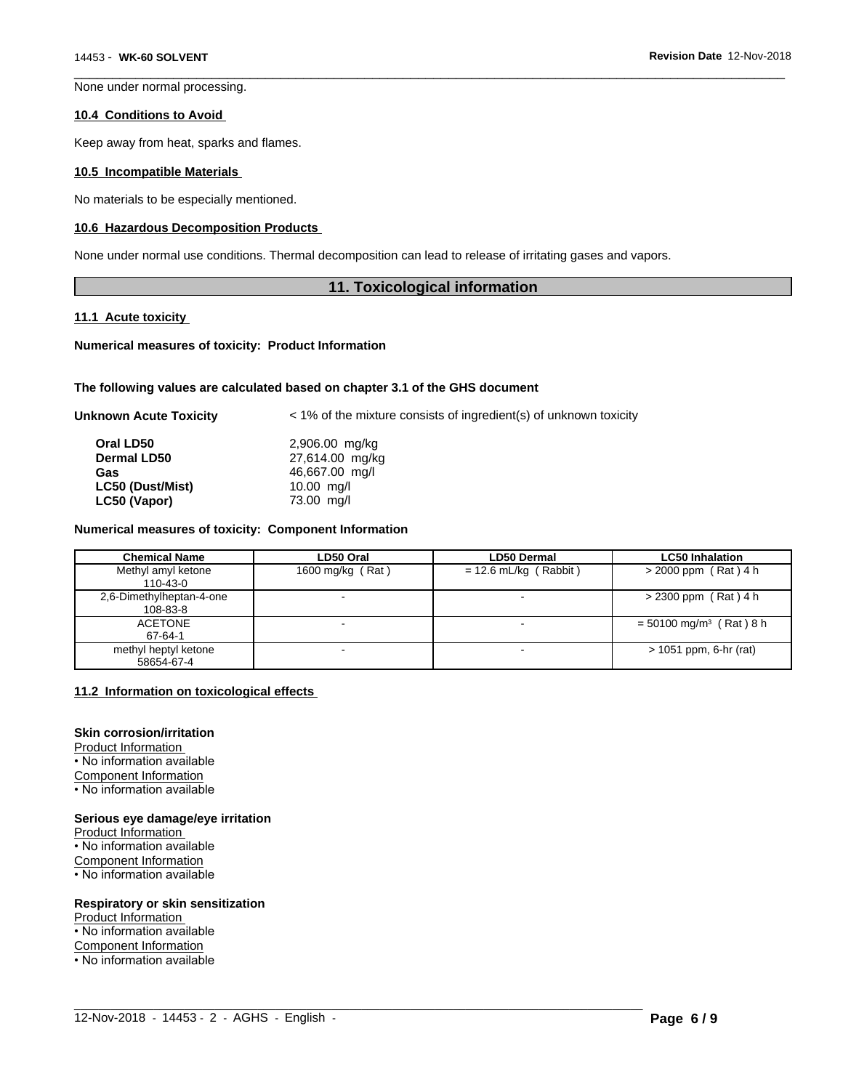None under normal processing.

#### **10.4 Conditions to Avoid**

Keep away from heat, sparks and flames.

#### **10.5 Incompatible Materials**

No materials to be especially mentioned.

#### **10.6 Hazardous Decomposition Products**

None under normal use conditions. Thermal decomposition can lead to release of irritating gases and vapors.

# **11. Toxicological information**

 $\overline{\phantom{a}}$  ,  $\overline{\phantom{a}}$  ,  $\overline{\phantom{a}}$  ,  $\overline{\phantom{a}}$  ,  $\overline{\phantom{a}}$  ,  $\overline{\phantom{a}}$  ,  $\overline{\phantom{a}}$  ,  $\overline{\phantom{a}}$  ,  $\overline{\phantom{a}}$  ,  $\overline{\phantom{a}}$  ,  $\overline{\phantom{a}}$  ,  $\overline{\phantom{a}}$  ,  $\overline{\phantom{a}}$  ,  $\overline{\phantom{a}}$  ,  $\overline{\phantom{a}}$  ,  $\overline{\phantom{a}}$ 

#### **11.1 Acute toxicity**

#### **Numerical measures of toxicity: Product Information**

#### **The following values are calculated based on chapter 3.1 of the GHS document**

| Unknown Acute Toxicity | < 1% of the mixture consists of ingredient(s) of unknown toxicity |
|------------------------|-------------------------------------------------------------------|
| Oral LD50              | 2,906.00 mg/kg                                                    |
| <b>Dermal LD50</b>     | 27,614.00 mg/kg                                                   |
| Gas                    | 46,667.00 mg/l                                                    |
| LC50 (Dust/Mist)       | 10.00 mg/l                                                        |
| LC50 (Vapor)           | 73.00 mg/l                                                        |
|                        |                                                                   |

#### **Numerical measures of toxicity: Component Information**

| <b>Chemical Name</b>                 | LD50 Oral        | <b>LD50 Dermal</b>      | <b>LC50 Inhalation</b>                |
|--------------------------------------|------------------|-------------------------|---------------------------------------|
| Methyl amyl ketone<br>110-43-0       | 1600 mg/kg (Rat) | $= 12.6$ mL/kg (Rabbit) | $>$ 2000 ppm (Rat) 4 h                |
| 2,6-Dimethylheptan-4-one<br>108-83-8 |                  |                         | > 2300 ppm (Rat) 4 h                  |
| <b>ACETONE</b><br>67-64-1            |                  |                         | $= 50100$ mg/m <sup>3</sup> (Rat) 8 h |
| methyl heptyl ketone<br>58654-67-4   |                  |                         | > 1051 ppm, 6-hr (rat)                |

 $\_$  ,  $\_$  ,  $\_$  ,  $\_$  ,  $\_$  ,  $\_$  ,  $\_$  ,  $\_$  ,  $\_$  ,  $\_$  ,  $\_$  ,  $\_$  ,  $\_$  ,  $\_$  ,  $\_$  ,  $\_$  ,  $\_$  ,  $\_$  ,  $\_$  ,  $\_$  ,  $\_$  ,  $\_$  ,  $\_$  ,  $\_$  ,  $\_$  ,  $\_$  ,  $\_$  ,  $\_$  ,  $\_$  ,  $\_$  ,  $\_$  ,  $\_$  ,  $\_$  ,  $\_$  ,  $\_$  ,  $\_$  ,  $\_$  ,

## **11.2 Information on toxicologicaleffects**

# **Skin corrosion/irritation**

Product Information • No information available Component Information

• No information available

#### **Serious eye damage/eye irritation**

Product Information • No information available

Component Information

• No information available

## **Respiratory or skin sensitization**

Product Information • No information available Component Information • No information available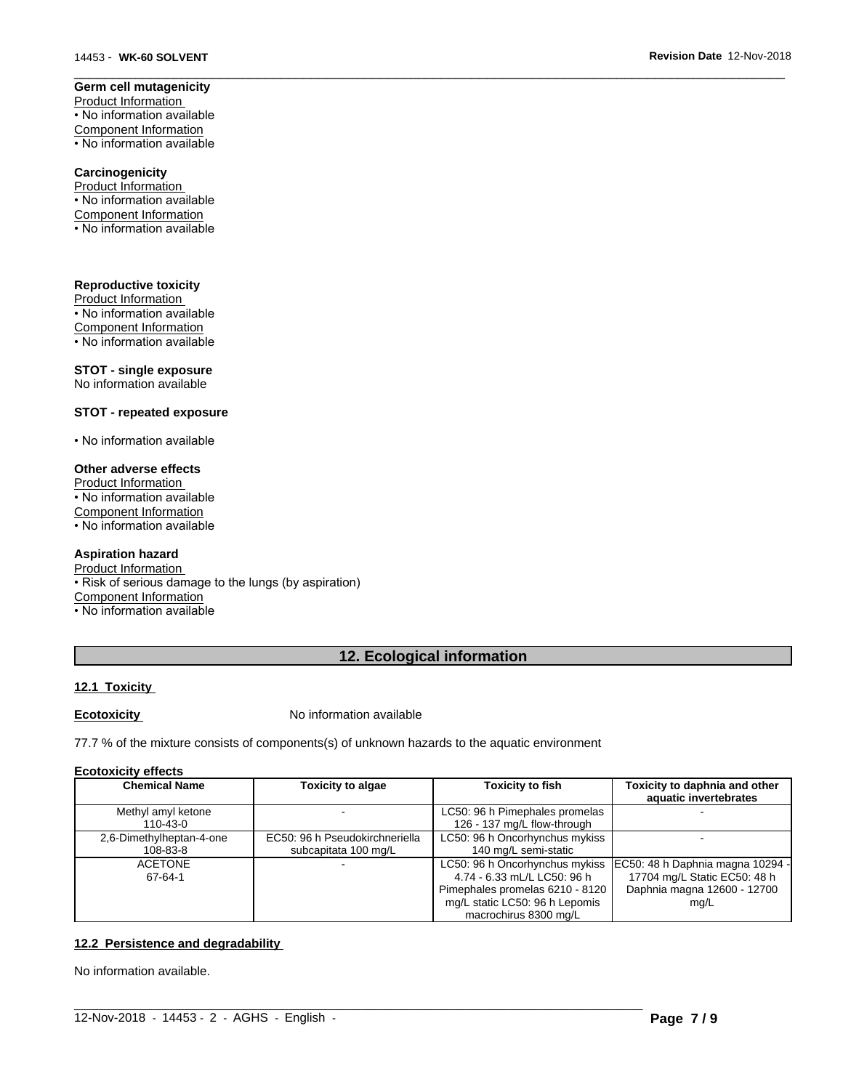#### **Germ cell mutagenicity** Product Information

• No information available Component Information • No information available

## **Carcinogenicity**

Product Information • No information available Component Information • No information available

# **Reproductive toxicity**

Product Information • No information available Component Information • No information available

# **STOT - single exposure**

No information available

# **STOT - repeated exposure**

• No information available

# **Other adverse effects**

Product Information • No information available Component Information • No information available

# **Aspiration hazard**

Product Information • Risk of serious damage to the lungs (by aspiration) Component Information

• No information available

# **12. Ecological information**

 $\overline{\phantom{a}}$  ,  $\overline{\phantom{a}}$  ,  $\overline{\phantom{a}}$  ,  $\overline{\phantom{a}}$  ,  $\overline{\phantom{a}}$  ,  $\overline{\phantom{a}}$  ,  $\overline{\phantom{a}}$  ,  $\overline{\phantom{a}}$  ,  $\overline{\phantom{a}}$  ,  $\overline{\phantom{a}}$  ,  $\overline{\phantom{a}}$  ,  $\overline{\phantom{a}}$  ,  $\overline{\phantom{a}}$  ,  $\overline{\phantom{a}}$  ,  $\overline{\phantom{a}}$  ,  $\overline{\phantom{a}}$ 

# **12.1 Toxicity**

**Ecotoxicity No information available** 

77.7 % of the mixture consists of components(s) of unknown hazards to the aquatic environment

## **Ecotoxicity effects**

| <b>Chemical Name</b><br><b>Toxicity to algae</b> |                          | <b>Toxicity to fish</b>        | Toxicity to daphnia and other<br>aquatic invertebrates |                                                                   |
|--------------------------------------------------|--------------------------|--------------------------------|--------------------------------------------------------|-------------------------------------------------------------------|
|                                                  | Methyl amyl ketone       |                                | LC50: 96 h Pimephales promelas                         |                                                                   |
|                                                  | 110-43-0                 |                                | 126 - 137 mg/L flow-through                            |                                                                   |
|                                                  | 2,6-Dimethylheptan-4-one | EC50: 96 h Pseudokirchneriella | LC50: 96 h Oncorhynchus mykiss                         |                                                                   |
|                                                  | 108-83-8                 | subcapitata 100 mg/L           | 140 mg/L semi-static                                   |                                                                   |
|                                                  | <b>ACETONE</b>           |                                |                                                        | LC50: 96 h Oncorhynchus mykiss   EC50: 48 h Daphnia magna 10294 - |
|                                                  | 67-64-1                  |                                | 4.74 - 6.33 mL/L LC50: 96 h                            | 17704 mg/L Static EC50: 48 h                                      |
|                                                  |                          |                                | Pimephales promelas 6210 - 8120                        | Daphnia magna 12600 - 12700                                       |
|                                                  |                          |                                | mg/L static LC50: 96 h Lepomis                         | mg/L                                                              |
|                                                  |                          |                                | macrochirus 8300 mg/L                                  |                                                                   |

 $\_$  ,  $\_$  ,  $\_$  ,  $\_$  ,  $\_$  ,  $\_$  ,  $\_$  ,  $\_$  ,  $\_$  ,  $\_$  ,  $\_$  ,  $\_$  ,  $\_$  ,  $\_$  ,  $\_$  ,  $\_$  ,  $\_$  ,  $\_$  ,  $\_$  ,  $\_$  ,  $\_$  ,  $\_$  ,  $\_$  ,  $\_$  ,  $\_$  ,  $\_$  ,  $\_$  ,  $\_$  ,  $\_$  ,  $\_$  ,  $\_$  ,  $\_$  ,  $\_$  ,  $\_$  ,  $\_$  ,  $\_$  ,  $\_$  ,

# **12.2 Persistence and degradability**

No information available.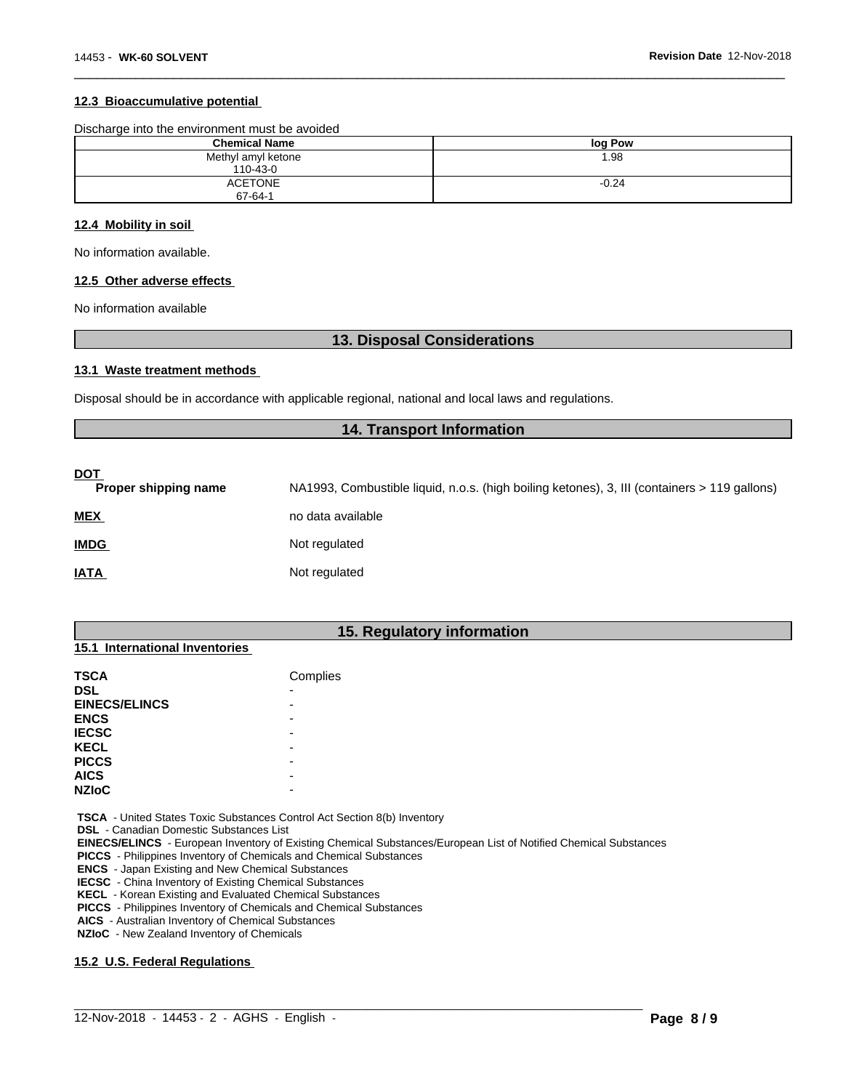### **12.3 Bioaccumulative potential**

| <b>Chemical Name</b>            | log Pow |
|---------------------------------|---------|
| Methyl amyl ketone<br>110-43-0  | 1.98    |
| <b>ACETONE</b><br>$67 - 64 - 1$ | $-0.24$ |

 $\overline{\phantom{a}}$  ,  $\overline{\phantom{a}}$  ,  $\overline{\phantom{a}}$  ,  $\overline{\phantom{a}}$  ,  $\overline{\phantom{a}}$  ,  $\overline{\phantom{a}}$  ,  $\overline{\phantom{a}}$  ,  $\overline{\phantom{a}}$  ,  $\overline{\phantom{a}}$  ,  $\overline{\phantom{a}}$  ,  $\overline{\phantom{a}}$  ,  $\overline{\phantom{a}}$  ,  $\overline{\phantom{a}}$  ,  $\overline{\phantom{a}}$  ,  $\overline{\phantom{a}}$  ,  $\overline{\phantom{a}}$ 

#### **12.4 Mobility in soil**

No information available.

# **12.5 Other adverse effects**

No information available

# **13. Disposal Considerations**

#### **13.1 Waste treatment methods**

Disposal should be in accordance with applicable regional, national and local laws and regulations.

# **14. Transport Information**

| <u>DOT</u><br>Proper shipping name | NA1993, Combustible liquid, n.o.s. (high boiling ketones), 3, III (containers > 119 gallons) |
|------------------------------------|----------------------------------------------------------------------------------------------|
| <b>MEX</b>                         | no data available                                                                            |
| <b>IMDG</b>                        | Not regulated                                                                                |
| <b>IATA</b>                        | Not regulated                                                                                |

# **15. Regulatory information**

| 15.1 International Inventories |
|--------------------------------|
|                                |

| Complies |
|----------|
| -        |
| -        |
| -        |
| -        |
| -        |
| -        |
| -        |
| -        |
|          |

 **TSCA** - United States Toxic Substances Control Act Section 8(b) Inventory

 **DSL** - Canadian Domestic Substances List

 **EINECS/ELINCS** - European Inventory of Existing Chemical Substances/European List of Notified Chemical Substances

 $\_$  ,  $\_$  ,  $\_$  ,  $\_$  ,  $\_$  ,  $\_$  ,  $\_$  ,  $\_$  ,  $\_$  ,  $\_$  ,  $\_$  ,  $\_$  ,  $\_$  ,  $\_$  ,  $\_$  ,  $\_$  ,  $\_$  ,  $\_$  ,  $\_$  ,  $\_$  ,  $\_$  ,  $\_$  ,  $\_$  ,  $\_$  ,  $\_$  ,  $\_$  ,  $\_$  ,  $\_$  ,  $\_$  ,  $\_$  ,  $\_$  ,  $\_$  ,  $\_$  ,  $\_$  ,  $\_$  ,  $\_$  ,  $\_$  ,

 **PICCS** - Philippines Inventory of Chemicals and Chemical Substances

 **ENCS** - Japan Existing and New Chemical Substances

 **IECSC** - China Inventory of Existing Chemical Substances

 **KECL** - Korean Existing and Evaluated Chemical Substances

 **PICCS** - Philippines Inventory of Chemicals and Chemical Substances

 **AICS** - Australian Inventory of Chemical Substances

 **NZIoC** - New Zealand Inventory of Chemicals

## **15.2 U.S. Federal Regulations**